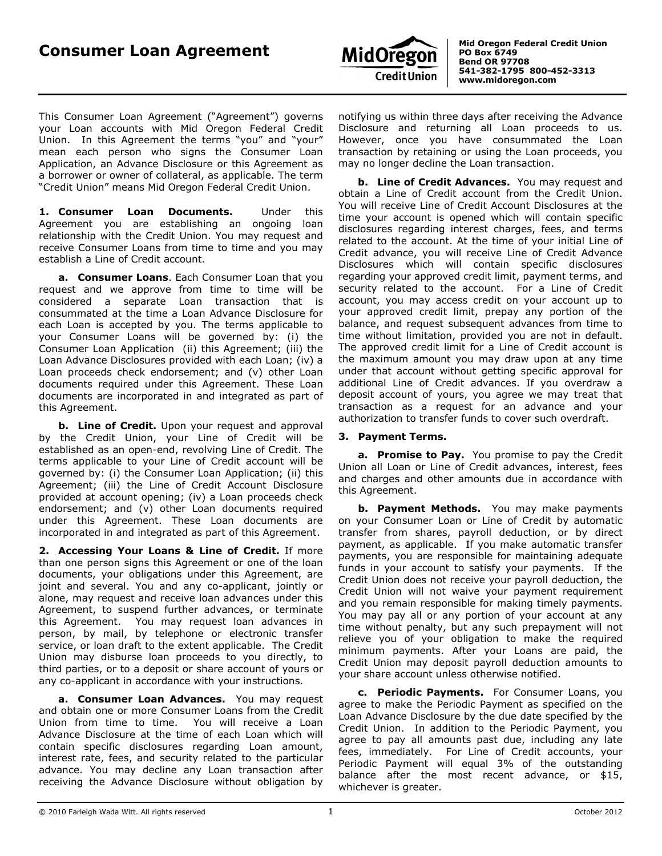

 **PO Box 6749 Bend OR 97708 541-382-1795 800-452-3313 www.midoregon.com**

This Consumer Loan Agreement ("Agreement") governs your Loan accounts with Mid Oregon Federal Credit Union. In this Agreement the terms "you" and "your" mean each person who signs the Consumer Loan Application, an Advance Disclosure or this Agreement as a borrower or owner of collateral, as applicable. The term "Credit Union" means Mid Oregon Federal Credit Union.

**1. Consumer Loan Documents.** Under this Agreement you are establishing an ongoing loan relationship with the Credit Union. You may request and receive Consumer Loans from time to time and you may establish a Line of Credit account.

**a. Consumer Loans**. Each Consumer Loan that you request and we approve from time to time will be considered a separate Loan transaction that is consummated at the time a Loan Advance Disclosure for each Loan is accepted by you. The terms applicable to your Consumer Loans will be governed by: (i) the Consumer Loan Application (ii) this Agreement; (iii) the Loan Advance Disclosures provided with each Loan; (iv) a Loan proceeds check endorsement; and (v) other Loan documents required under this Agreement. These Loan documents are incorporated in and integrated as part of this Agreement.

**b.** Line of Credit. Upon your request and approval by the Credit Union, your Line of Credit will be established as an open-end, revolving Line of Credit. The terms applicable to your Line of Credit account will be governed by: (i) the Consumer Loan Application; (ii) this Agreement; (iii) the Line of Credit Account Disclosure provided at account opening; (iv) a Loan proceeds check endorsement; and (v) other Loan documents required under this Agreement. These Loan documents are incorporated in and integrated as part of this Agreement.

**2. Accessing Your Loans & Line of Credit.** If more than one person signs this Agreement or one of the loan documents, your obligations under this Agreement, are joint and several. You and any co-applicant, jointly or alone, may request and receive loan advances under this Agreement, to suspend further advances, or terminate this Agreement. You may request loan advances in person, by mail, by telephone or electronic transfer service, or loan draft to the extent applicable. The Credit Union may disburse loan proceeds to you directly, to third parties, or to a deposit or share account of yours or any co-applicant in accordance with your instructions.

**a. Consumer Loan Advances.** You may request and obtain one or more Consumer Loans from the Credit Union from time to time. You will receive a Loan Advance Disclosure at the time of each Loan which will contain specific disclosures regarding Loan amount, interest rate, fees, and security related to the particular advance. You may decline any Loan transaction after receiving the Advance Disclosure without obligation by

notifying us within three days after receiving the Advance Disclosure and returning all Loan proceeds to us. However, once you have consummated the Loan transaction by retaining or using the Loan proceeds, you may no longer decline the Loan transaction.

**b. Line of Credit Advances.** You may request and obtain a Line of Credit account from the Credit Union. You will receive Line of Credit Account Disclosures at the time your account is opened which will contain specific disclosures regarding interest charges, fees, and terms related to the account. At the time of your initial Line of Credit advance, you will receive Line of Credit Advance Disclosures which will contain specific disclosures regarding your approved credit limit, payment terms, and security related to the account. For a Line of Credit account, you may access credit on your account up to your approved credit limit, prepay any portion of the balance, and request subsequent advances from time to time without limitation, provided you are not in default. The approved credit limit for a Line of Credit account is the maximum amount you may draw upon at any time under that account without getting specific approval for additional Line of Credit advances. If you overdraw a deposit account of yours, you agree we may treat that transaction as a request for an advance and your authorization to transfer funds to cover such overdraft.

## **3. Payment Terms.**

**a. Promise to Pay.** You promise to pay the Credit Union all Loan or Line of Credit advances, interest, fees and charges and other amounts due in accordance with this Agreement.

**b. Payment Methods.** You may make payments on your Consumer Loan or Line of Credit by automatic transfer from shares, payroll deduction, or by direct payment, as applicable. If you make automatic transfer payments, you are responsible for maintaining adequate funds in your account to satisfy your payments. If the Credit Union does not receive your payroll deduction, the Credit Union will not waive your payment requirement and you remain responsible for making timely payments. You may pay all or any portion of your account at any time without penalty, but any such prepayment will not relieve you of your obligation to make the required minimum payments. After your Loans are paid, the Credit Union may deposit payroll deduction amounts to your share account unless otherwise notified.

**c. Periodic Payments.** For Consumer Loans, you agree to make the Periodic Payment as specified on the Loan Advance Disclosure by the due date specified by the Credit Union. In addition to the Periodic Payment, you agree to pay all amounts past due, including any late fees, immediately. For Line of Credit accounts, your Periodic Payment will equal 3% of the outstanding balance after the most recent advance, or \$15, whichever is greater.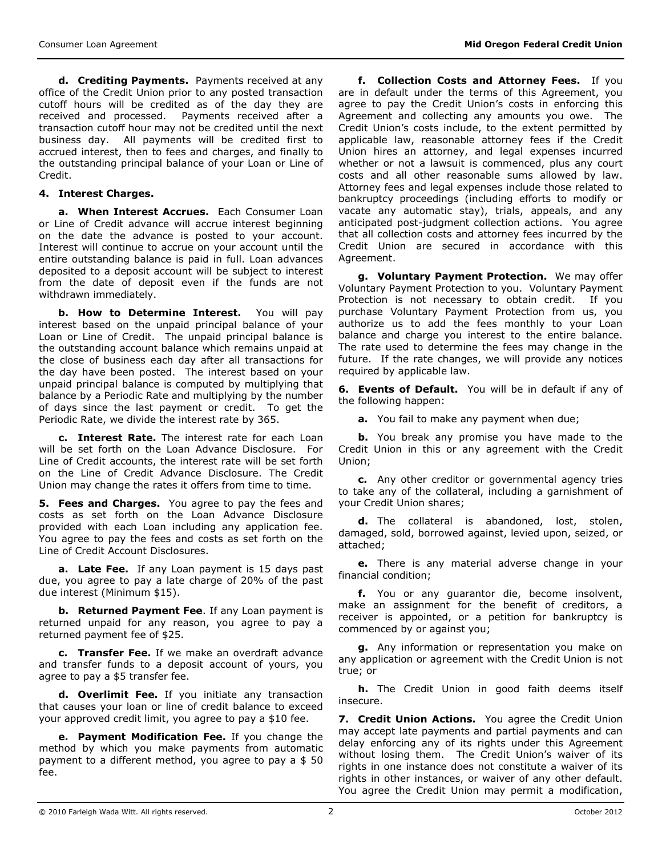**d. Crediting Payments.** Payments received at any office of the Credit Union prior to any posted transaction cutoff hours will be credited as of the day they are received and processed. Payments received after a transaction cutoff hour may not be credited until the next business day. All payments will be credited first to accrued interest, then to fees and charges, and finally to the outstanding principal balance of your Loan or Line of Credit.

## **4. Interest Charges.**

**a. When Interest Accrues.** Each Consumer Loan or Line of Credit advance will accrue interest beginning on the date the advance is posted to your account. Interest will continue to accrue on your account until the entire outstanding balance is paid in full. Loan advances deposited to a deposit account will be subject to interest from the date of deposit even if the funds are not withdrawn immediately.

**b. How to Determine Interest.** You will pay interest based on the unpaid principal balance of your Loan or Line of Credit. The unpaid principal balance is the outstanding account balance which remains unpaid at the close of business each day after all transactions for the day have been posted. The interest based on your unpaid principal balance is computed by multiplying that balance by a Periodic Rate and multiplying by the number of days since the last payment or credit. To get the Periodic Rate, we divide the interest rate by 365.

**c. Interest Rate.** The interest rate for each Loan will be set forth on the Loan Advance Disclosure. For Line of Credit accounts, the interest rate will be set forth on the Line of Credit Advance Disclosure. The Credit Union may change the rates it offers from time to time.

**5. Fees and Charges.** You agree to pay the fees and costs as set forth on the Loan Advance Disclosure provided with each Loan including any application fee. You agree to pay the fees and costs as set forth on the Line of Credit Account Disclosures.

**a. Late Fee.** If any Loan payment is 15 days past due, you agree to pay a late charge of 20% of the past due interest (Minimum \$15).

**b. Returned Payment Fee**. If any Loan payment is returned unpaid for any reason, you agree to pay a returned payment fee of \$25.

**c. Transfer Fee.** If we make an overdraft advance and transfer funds to a deposit account of yours, you agree to pay a \$5 transfer fee.

**d. Overlimit Fee.** If you initiate any transaction that causes your loan or line of credit balance to exceed your approved credit limit, you agree to pay a \$10 fee.

**e. Payment Modification Fee.** If you change the method by which you make payments from automatic payment to a different method, you agree to pay a \$ 50 fee.

**f. Collection Costs and Attorney Fees.** If you are in default under the terms of this Agreement, you agree to pay the Credit Union's costs in enforcing this Agreement and collecting any amounts you owe. The Credit Union's costs include, to the extent permitted by applicable law, reasonable attorney fees if the Credit Union hires an attorney, and legal expenses incurred whether or not a lawsuit is commenced, plus any court costs and all other reasonable sums allowed by law. Attorney fees and legal expenses include those related to bankruptcy proceedings (including efforts to modify or vacate any automatic stay), trials, appeals, and any anticipated post-judgment collection actions. You agree that all collection costs and attorney fees incurred by the Credit Union are secured in accordance with this Agreement.

**g. Voluntary Payment Protection.** We may offer Voluntary Payment Protection to you. Voluntary Payment Protection is not necessary to obtain credit. If you purchase Voluntary Payment Protection from us, you authorize us to add the fees monthly to your Loan balance and charge you interest to the entire balance. The rate used to determine the fees may change in the future. If the rate changes, we will provide any notices required by applicable law.

**6. Events of Default.** You will be in default if any of the following happen:

**a.** You fail to make any payment when due;

**b.** You break any promise you have made to the Credit Union in this or any agreement with the Credit Union;

**c.** Any other creditor or governmental agency tries to take any of the collateral, including a garnishment of your Credit Union shares;

**d.** The collateral is abandoned, lost, stolen, damaged, sold, borrowed against, levied upon, seized, or attached;

**e.** There is any material adverse change in your financial condition;

**f.** You or any guarantor die, become insolvent, make an assignment for the benefit of creditors, a receiver is appointed, or a petition for bankruptcy is commenced by or against you;

**g.** Any information or representation you make on any application or agreement with the Credit Union is not true; or

**h.** The Credit Union in good faith deems itself insecure.

**7. Credit Union Actions.** You agree the Credit Union may accept late payments and partial payments and can delay enforcing any of its rights under this Agreement without losing them. The Credit Union's waiver of its rights in one instance does not constitute a waiver of its rights in other instances, or waiver of any other default. You agree the Credit Union may permit a modification,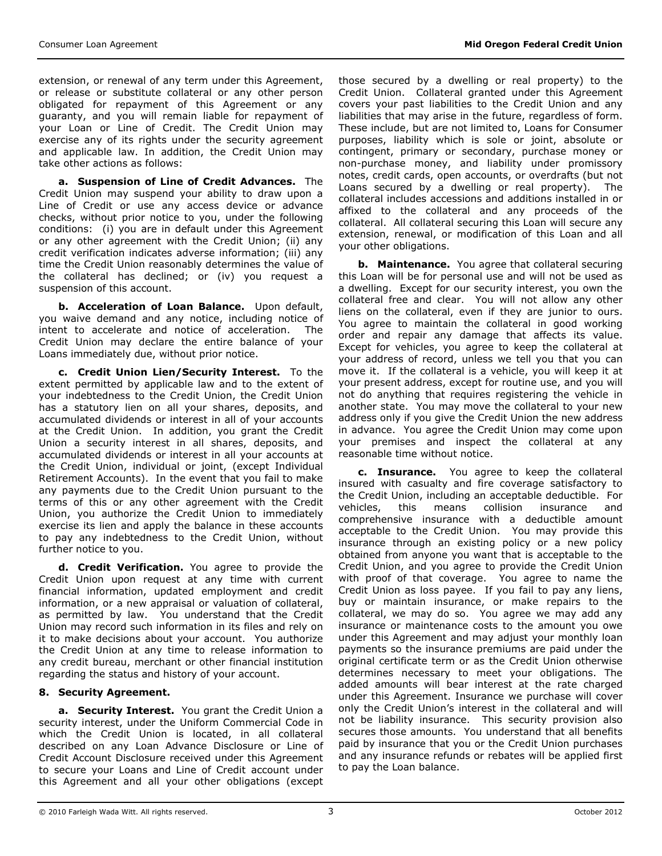extension, or renewal of any term under this Agreement, or release or substitute collateral or any other person obligated for repayment of this Agreement or any guaranty, and you will remain liable for repayment of your Loan or Line of Credit. The Credit Union may exercise any of its rights under the security agreement and applicable law. In addition, the Credit Union may take other actions as follows:

**a. Suspension of Line of Credit Advances.** The Credit Union may suspend your ability to draw upon a Line of Credit or use any access device or advance checks, without prior notice to you, under the following conditions: (i) you are in default under this Agreement or any other agreement with the Credit Union; (ii) any credit verification indicates adverse information; (iii) any time the Credit Union reasonably determines the value of the collateral has declined; or (iv) you request a suspension of this account.

**b. Acceleration of Loan Balance.** Upon default, you waive demand and any notice, including notice of intent to accelerate and notice of acceleration. The Credit Union may declare the entire balance of your Loans immediately due, without prior notice.

**c. Credit Union Lien/Security Interest.** To the extent permitted by applicable law and to the extent of your indebtedness to the Credit Union, the Credit Union has a statutory lien on all your shares, deposits, and accumulated dividends or interest in all of your accounts at the Credit Union. In addition, you grant the Credit Union a security interest in all shares, deposits, and accumulated dividends or interest in all your accounts at the Credit Union, individual or joint, (except Individual Retirement Accounts). In the event that you fail to make any payments due to the Credit Union pursuant to the terms of this or any other agreement with the Credit Union, you authorize the Credit Union to immediately exercise its lien and apply the balance in these accounts to pay any indebtedness to the Credit Union, without further notice to you.

**d. Credit Verification.** You agree to provide the Credit Union upon request at any time with current financial information, updated employment and credit information, or a new appraisal or valuation of collateral, as permitted by law. You understand that the Credit Union may record such information in its files and rely on it to make decisions about your account. You authorize the Credit Union at any time to release information to any credit bureau, merchant or other financial institution regarding the status and history of your account.

## **8. Security Agreement.**

**a. Security Interest.** You grant the Credit Union a security interest, under the Uniform Commercial Code in which the Credit Union is located, in all collateral described on any Loan Advance Disclosure or Line of Credit Account Disclosure received under this Agreement to secure your Loans and Line of Credit account under this Agreement and all your other obligations (except those secured by a dwelling or real property) to the Credit Union. Collateral granted under this Agreement covers your past liabilities to the Credit Union and any liabilities that may arise in the future, regardless of form. These include, but are not limited to, Loans for Consumer purposes, liability which is sole or joint, absolute or contingent, primary or secondary, purchase money or non-purchase money, and liability under promissory notes, credit cards, open accounts, or overdrafts (but not Loans secured by a dwelling or real property). The collateral includes accessions and additions installed in or affixed to the collateral and any proceeds of the collateral. All collateral securing this Loan will secure any extension, renewal, or modification of this Loan and all your other obligations.

**b. Maintenance.** You agree that collateral securing this Loan will be for personal use and will not be used as a dwelling. Except for our security interest, you own the collateral free and clear. You will not allow any other liens on the collateral, even if they are junior to ours. You agree to maintain the collateral in good working order and repair any damage that affects its value. Except for vehicles, you agree to keep the collateral at your address of record, unless we tell you that you can move it. If the collateral is a vehicle, you will keep it at your present address, except for routine use, and you will not do anything that requires registering the vehicle in another state. You may move the collateral to your new address only if you give the Credit Union the new address in advance. You agree the Credit Union may come upon your premises and inspect the collateral at any reasonable time without notice.

**c. Insurance.** You agree to keep the collateral insured with casualty and fire coverage satisfactory to the Credit Union, including an acceptable deductible. For vehicles, this means collision insurance and comprehensive insurance with a deductible amount acceptable to the Credit Union. You may provide this insurance through an existing policy or a new policy obtained from anyone you want that is acceptable to the Credit Union, and you agree to provide the Credit Union with proof of that coverage. You agree to name the Credit Union as loss payee. If you fail to pay any liens, buy or maintain insurance, or make repairs to the collateral, we may do so. You agree we may add any insurance or maintenance costs to the amount you owe under this Agreement and may adjust your monthly loan payments so the insurance premiums are paid under the original certificate term or as the Credit Union otherwise determines necessary to meet your obligations. The added amounts will bear interest at the rate charged under this Agreement. Insurance we purchase will cover only the Credit Union's interest in the collateral and will not be liability insurance. This security provision also secures those amounts. You understand that all benefits paid by insurance that you or the Credit Union purchases and any insurance refunds or rebates will be applied first to pay the Loan balance.